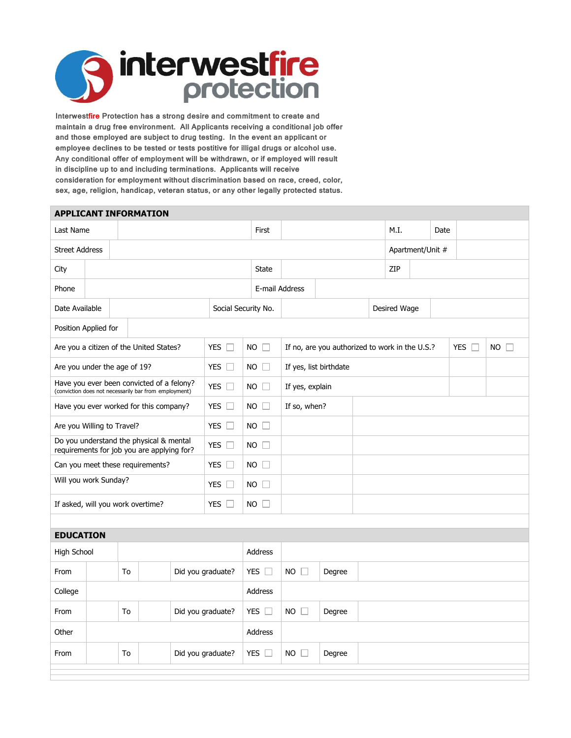

**Interwestfire Protection has a strong desire and commitment to create and maintain a drug free environment. All Applicants receiving a conditional job offer and those employed are subject to drug testing. In the event an applicant or employee declines to be tested or tests postitive for illigal drugs or alcohol use. Any conditional offer of employment will be withdrawn, or if employed will result in discipline up to and including terminations. Applicants will receive consideration for employment without discrimination based on race, creed, color, sex, age, religion, handicap, veteran status, or any other legally protected status.**

| <b>APPLICANT INFORMATION</b>                                                                       |                         |    |                     |                     |                |                                                                     |                       |                        |      |              |      |  |  |  |  |
|----------------------------------------------------------------------------------------------------|-------------------------|----|---------------------|---------------------|----------------|---------------------------------------------------------------------|-----------------------|------------------------|------|--------------|------|--|--|--|--|
| Last Name                                                                                          |                         |    |                     |                     | First          |                                                                     |                       |                        | M.I. |              | Date |  |  |  |  |
| <b>Street Address</b>                                                                              |                         |    |                     |                     |                |                                                                     | Apartment/Unit #      |                        |      |              |      |  |  |  |  |
| City                                                                                               |                         |    |                     |                     |                | State                                                               | ZIP                   |                        |      |              |      |  |  |  |  |
| Phone                                                                                              |                         |    |                     |                     |                |                                                                     |                       | E-mail Address         |      |              |      |  |  |  |  |
| Date Available                                                                                     |                         |    |                     | Social Security No. |                |                                                                     |                       |                        |      | Desired Wage |      |  |  |  |  |
| Position Applied for                                                                               |                         |    |                     |                     |                |                                                                     |                       |                        |      |              |      |  |  |  |  |
| Are you a citizen of the United States?                                                            |                         |    | <b>YES</b><br>- F.J | NO.                 | ĒТ             | <b>YES</b><br>NO.<br>If no, are you authorized to work in the U.S.? |                       |                        |      |              | T.j  |  |  |  |  |
| Are you under the age of 19?                                                                       |                         |    |                     |                     | YES $\square$  | NO.                                                                 |                       | If yes, list birthdate |      |              |      |  |  |  |  |
| Have you ever been convicted of a felony?<br>(conviction does not necessarily bar from employment) |                         |    |                     |                     | YES $\square$  | NO.                                                                 | <b>I</b>              | If yes, explain        |      |              |      |  |  |  |  |
| Have you ever worked for this company?                                                             |                         |    |                     | YES $\square$       | $NO$ $\Box$    |                                                                     | If so, when?          |                        |      |              |      |  |  |  |  |
| Are you Willing to Travel?                                                                         |                         |    |                     |                     | YES $\square$  | $NO$ $\Box$                                                         |                       |                        |      |              |      |  |  |  |  |
| Do you understand the physical & mental<br>requirements for job you are applying for?              |                         |    |                     | YES $\Box$          | $NO \Box$      |                                                                     |                       |                        |      |              |      |  |  |  |  |
| Can you meet these requirements?                                                                   |                         |    |                     | YES $\Box$          | NO.            | $\mathbf{1}$                                                        |                       |                        |      |              |      |  |  |  |  |
| Will you work Sunday?                                                                              |                         |    |                     | YES $\Box$          | NO.            | $\mathbb{R}^n$                                                      |                       |                        |      |              |      |  |  |  |  |
| If asked, will you work overtime?                                                                  |                         |    | YES $\Box$          | NO.                 | $\mathbb{R}^n$ |                                                                     |                       |                        |      |              |      |  |  |  |  |
|                                                                                                    |                         |    |                     |                     |                |                                                                     |                       |                        |      |              |      |  |  |  |  |
| <b>EDUCATION</b>                                                                                   |                         |    |                     |                     |                |                                                                     |                       |                        |      |              |      |  |  |  |  |
| High School                                                                                        |                         |    |                     |                     | <b>Address</b> |                                                                     |                       |                        |      |              |      |  |  |  |  |
| From                                                                                               |                         | To | Did you graduate?   |                     | YES $\square$  |                                                                     | <b>NO</b><br>$\Box$   | Degree                 |      |              |      |  |  |  |  |
| College                                                                                            |                         |    |                     |                     |                | <b>Address</b>                                                      |                       |                        |      |              |      |  |  |  |  |
| From                                                                                               | To<br>Did you graduate? |    |                     |                     | YES $\square$  |                                                                     | NO.<br><b>College</b> | Degree                 |      |              |      |  |  |  |  |
| Other                                                                                              |                         |    |                     |                     | <b>Address</b> |                                                                     |                       |                        |      |              |      |  |  |  |  |
| T <sub>o</sub><br>Did you graduate?<br>From                                                        |                         |    |                     | YES $\Box$          |                | NO.<br>$\Box$                                                       | Degree                |                        |      |              |      |  |  |  |  |
|                                                                                                    |                         |    |                     |                     |                |                                                                     |                       |                        |      |              |      |  |  |  |  |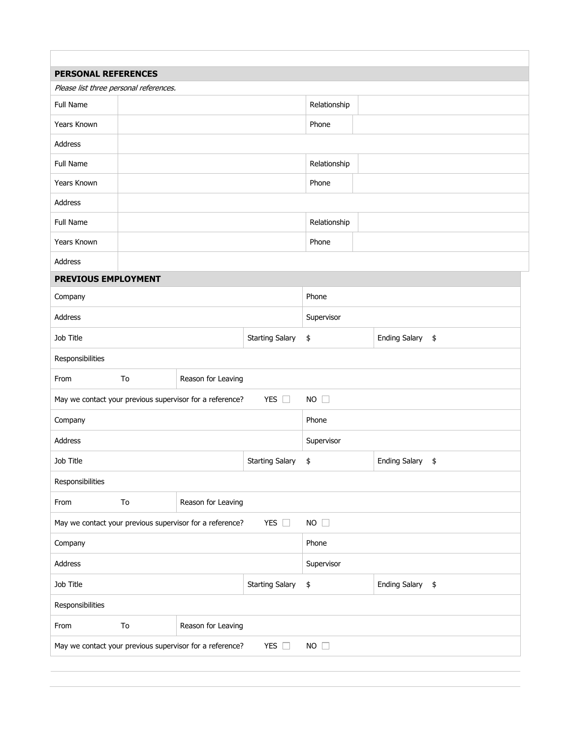| <b>PERSONAL REFERENCES</b>                                                               |                          |                                                          |                        |              |                      |    |  |  |
|------------------------------------------------------------------------------------------|--------------------------|----------------------------------------------------------|------------------------|--------------|----------------------|----|--|--|
| Please list three personal references.                                                   |                          |                                                          |                        |              |                      |    |  |  |
| Full Name                                                                                |                          |                                                          |                        | Relationship |                      |    |  |  |
| Years Known                                                                              |                          |                                                          |                        | Phone        |                      |    |  |  |
| Address                                                                                  |                          |                                                          |                        |              |                      |    |  |  |
| Full Name                                                                                |                          |                                                          |                        | Relationship |                      |    |  |  |
| Years Known                                                                              |                          |                                                          |                        | Phone        |                      |    |  |  |
| Address                                                                                  |                          |                                                          |                        |              |                      |    |  |  |
| Full Name                                                                                |                          |                                                          |                        | Relationship |                      |    |  |  |
| Years Known                                                                              |                          |                                                          |                        | Phone        |                      |    |  |  |
| Address                                                                                  |                          |                                                          |                        |              |                      |    |  |  |
| PREVIOUS EMPLOYMENT                                                                      |                          |                                                          |                        |              |                      |    |  |  |
| Company                                                                                  |                          |                                                          | Phone                  |              |                      |    |  |  |
| Address                                                                                  |                          |                                                          | Supervisor             |              |                      |    |  |  |
| Job Title                                                                                |                          |                                                          | <b>Starting Salary</b> | \$           | <b>Ending Salary</b> | \$ |  |  |
| Responsibilities                                                                         |                          |                                                          |                        |              |                      |    |  |  |
| From                                                                                     | To<br>Reason for Leaving |                                                          |                        |              |                      |    |  |  |
|                                                                                          |                          | May we contact your previous supervisor for a reference? | $NO$ $\Box$            |              |                      |    |  |  |
| Company                                                                                  |                          |                                                          | Phone                  |              |                      |    |  |  |
| Address                                                                                  |                          |                                                          |                        | Supervisor   |                      |    |  |  |
| Job Title                                                                                |                          |                                                          | <b>Starting Salary</b> | \$           | <b>Ending Salary</b> | \$ |  |  |
| Responsibilities                                                                         |                          |                                                          |                        |              |                      |    |  |  |
| From                                                                                     | To<br>Reason for Leaving |                                                          |                        |              |                      |    |  |  |
| YES $\square$<br>$NO$ $\Box$<br>May we contact your previous supervisor for a reference? |                          |                                                          |                        |              |                      |    |  |  |
| Company                                                                                  |                          |                                                          | Phone                  |              |                      |    |  |  |
| Address                                                                                  |                          |                                                          | Supervisor             |              |                      |    |  |  |
| Job Title                                                                                |                          |                                                          | <b>Starting Salary</b> | \$           | <b>Ending Salary</b> | \$ |  |  |
| Responsibilities                                                                         |                          |                                                          |                        |              |                      |    |  |  |
| From                                                                                     | Reason for Leaving<br>To |                                                          |                        |              |                      |    |  |  |
|                                                                                          |                          |                                                          | YES $\square$          | $NO$ $\Box$  |                      |    |  |  |
| May we contact your previous supervisor for a reference?                                 |                          |                                                          |                        |              |                      |    |  |  |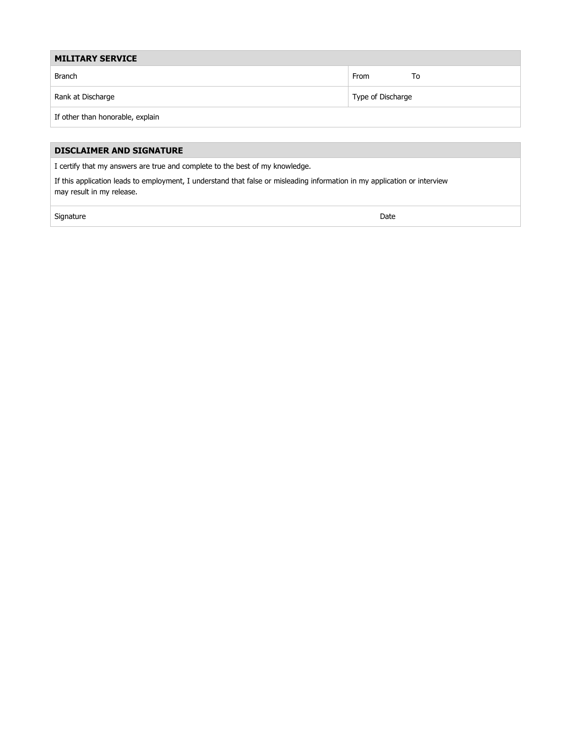| <b>MILITARY SERVICE</b>          |                   |  |  |  |  |
|----------------------------------|-------------------|--|--|--|--|
| Branch                           | From<br>To        |  |  |  |  |
| Rank at Discharge                | Type of Discharge |  |  |  |  |
| If other than honorable, explain |                   |  |  |  |  |

## **DISCLAIMER AND SIGNATURE**

I certify that my answers are true and complete to the best of my knowledge.

If this application leads to employment, I understand that false or misleading information in my application or interview may result in my release.

signature Date of the Date of the Signature Date of the Date of the Date of the Date of the Date of the Date o